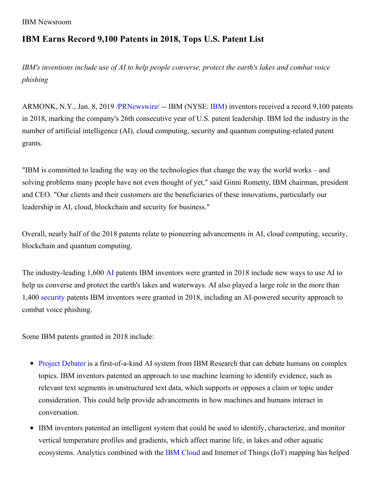```
IBM Newsroom
```
## **IBM Earns Record 9,100 Patents in 2018, Tops U.S. Patent List**

*IBM's inventions include use of AI to help people converse, protect the earth's lakes and combat voice phishing*

ARMONK, N.Y., Jan. 8, 2019 [/PRNewswire](http://www.prnewswire.com/)/ -- IBM (NYSE: [IBM](https://c212.net/c/link/?t=0&l=en&o=2340800-1&h=3118543000&u=http%3A%2F%2Fwww.ibm.com%2Finvestor&a=IBM)) inventors received a record 9,100 patents in 2018, marking the company's 26th consecutive year of U.S. patent leadership. IBM led the industry in the number of artificial intelligence (AI), cloud computing, security and quantum computing-related patent grants.

"IBM is committed to leading the way on the technologies that change the way the world works – and solving problems many people have not even thought of yet," said Ginni Rometty, IBM chairman, president and CEO. "Our clients and their customers are the beneficiaries of these innovations, particularly our leadership in AI, cloud, blockchain and security for business."

Overall, nearly half of the 2018 patents relate to pioneering advancements in AI, cloud computing, security, blockchain and quantum computing.

The industry-leading 1,600 [AI](https://c212.net/c/link/?t=0&l=en&o=2340800-1&h=2139829540&u=https%3A%2F%2Fwww.ibm.com%2Fwatson%2F&a=AI) patents IBM inventors were granted in 2018 include new ways to use AI to help us converse and protect the earth's lakes and waterways. AI also played a large role in the more than 1,400 [security](https://c212.net/c/link/?t=0&l=en&o=2340800-1&h=752578525&u=https%3A%2F%2Fwww.ibm.com%2Fsecurity&a=security) patents IBM inventors were granted in 2018, including an AI-powered security approach to combat voice phishing.

Some IBM patents granted in 2018 include:

- Project [Debater](https://c212.net/c/link/?t=0&l=en&o=2340800-1&h=1604644384&u=https%3A%2F%2Fwww.research.ibm.com%2Fartificial-intelligence%2Fproject-debater%2F&a=Project+Debater) is a first-of-a-kind AI system from IBM Research that can debate humans on complex topics. IBM inventors patented an approach to use machine learning to identify evidence, such as relevant text segments in unstructured text data, which supports or opposes a claim or topic under consideration. This could help provide advancements in how machines and humans interact in conversation.
- IBM inventors patented an intelligent system that could be used to identify, characterize, and monitor vertical temperature profiles and gradients, which affect marine life, in lakes and other aquatic ecosystems. Analytics combined with the IBM [Cloud](https://c212.net/c/link/?t=0&l=en&o=2340800-1&h=520766703&u=https%3A%2F%2Fwww.ibm.com%2Fcloud%2F&a=IBM+Cloud) and Internet of Things (IoT) mapping has helped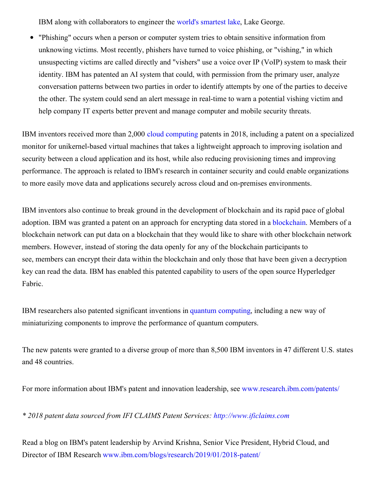IBM along with collaborators to engineer the world's [smartest](https://c212.net/c/link/?t=0&l=en&o=2340800-1&h=692198421&u=https%3A%2F%2Fwww.youtube.com%2Fwatch%3Fv%3D-Hhd1nsUNAU&a=world%27s+smartest+lake) lake, Lake George.

"Phishing" occurs when a person or computer system tries to obtain sensitive information from  $\bullet$ unknowing victims. Most recently, phishers have turned to voice phishing, or "vishing," in which unsuspecting victims are called directly and "vishers" use a voice over IP (VoIP) system to mask their identity. IBM has patented an AI system that could, with permission from the primary user, analyze conversation patterns between two parties in order to identify attempts by one of the parties to deceive the other. The system could send an alert message in real-time to warn a potential vishing victim and help company IT experts better prevent and manage computer and mobile security threats.

IBM inventors received more than 2,000 cloud [computing](https://c212.net/c/link/?t=0&l=en&o=2340800-1&h=2270566730&u=https%3A%2F%2Fwww.ibm.com%2Fcloud%2F&a=cloud+computing) patents in 2018, including a patent on a specialized monitor for unikernel-based virtual machines that takes a lightweight approach to improving isolation and security between a cloud application and its host, while also reducing provisioning times and improving performance. The approach is related to IBM's research in container security and could enable organizations to more easily move data and applications securely across cloud and on-premises environments.

IBM inventors also continue to break ground in the development of blockchain and its rapid pace of global adoption. IBM was granted a patent on an approach for encrypting data stored in a [blockchain.](https://c212.net/c/link/?t=0&l=en&o=2340800-1&h=2625252031&u=https%3A%2F%2Fwww.ibm.com%2Fblockchain&a=blockchain) Members of a blockchain network can put data on a blockchain that they would like to share with other blockchain network members. However, instead of storing the data openly for any of the blockchain participants to see, members can encrypt their data within the blockchain and only those that have been given a decryption key can read the data. IBM has enabled this patented capability to users of the open source Hyperledger Fabric.

IBM researchers also patented significant inventions in quantum [computing,](https://c212.net/c/link/?t=0&l=en&o=2340800-1&h=3150046636&u=https%3A%2F%2Fwww.research.ibm.com%2Fibm-q%2F&a=quantum+computing) including a new way of miniaturizing components to improve the performance of quantum computers.

The new patents were granted to a diverse group of more than 8,500 IBM inventors in 47 different U.S. states and 48 countries.

For more information about IBM's patent and innovation leadership, see [www.research.ibm.com/patents/](https://c212.net/c/link/?t=0&l=en&o=2340800-1&h=2981623476&u=http%3A%2F%2Fwww.research.ibm.com%2Fpatents%2F&a=www.research.ibm.com%2Fpatents%2F)

*\* 2018 patent data sourced from IFI CLAIMS Patent Services: [http://www.ificlaims.com](https://c212.net/c/link/?t=0&l=en&o=2340800-1&h=2975693292&u=http%3A%2F%2Fwww.ificlaims.com%2F&a=http%3A%2F%2Fwww.ificlaims.com)*

Read a blog on IBM's patent leadership by Arvind Krishna, Senior Vice President, Hybrid Cloud, and Director of IBM Research [www.ibm.com/blogs/research/2019/01/2018-patent/](https://c212.net/c/link/?t=0&l=en&o=2340800-1&h=1292214306&u=http%3A%2F%2Fwww.ibm.com%2Fblogs%2Fresearch%2F2019%2F01%2F2018-patent%2F&a=www.ibm.com%2Fblogs%2Fresearch%2F2019%2F01%2F2018-patent%2F)